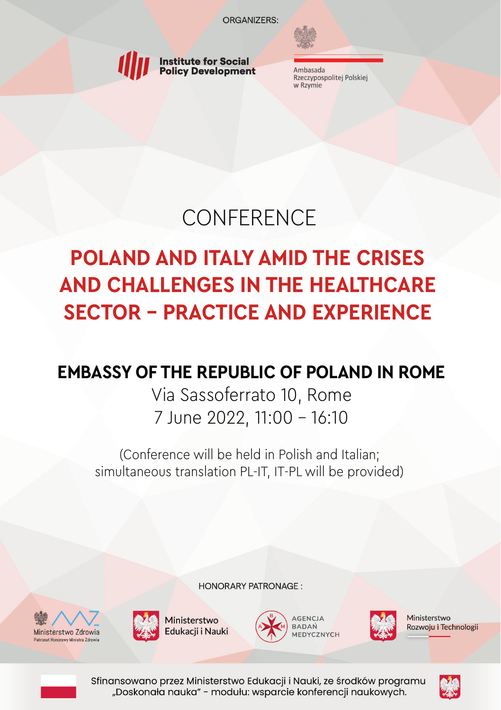

Ambasada Rzeczypospolitej Polskiej w Rzymie

# **CONFERENCE**

# **POLAND AND ITALY AMID THE CRISES AND CHALLENGES IN THE HEALTHCARE SECTOR - PRACTICE AND EXPERIENCE**

## **EMBASSY OF THE REPUBLIC OF POLAND IN ROME**

Via Sassoferrato 10, Rome 7 June 2022, 11:00 - 16:10

(Conference will be held in Polish and Italian; simultaneous translation PL-IT, IT-PL will be provided)

**HONORARY PATRONAGE:** 







Ministerstwo Rozwoju i Technologii



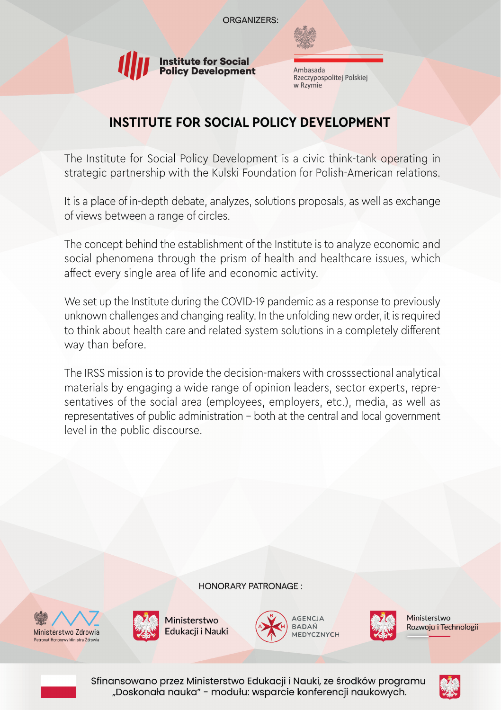

Ambasada Rzeczypospolitej Polskiej w Rzymie

## **INSTITUTE FOR SOCIAL POLICY DEVELOPMENT**

The Institute for Social Policy Development is a civic think-tank operating in strategic partnership with the Kulski Foundation for Polish-American relations.

It is a place of in-depth debate, analyzes, solutions proposals, as well as exchange of views between a range of circles.

The concept behind the establishment of the Institute is to analyze economic and social phenomena through the prism of health and healthcare issues, which affect every single area of life and economic activity.

We set up the Institute during the COVID-19 pandemic as a response to previously unknown challenges and changing reality. In the unfolding new order, it is required to think about health care and related system solutions in a completely different way than before.

The IRSS mission is to provide the decision-makers with crosssectional analytical materials by engaging a wide range of opinion leaders, sector experts, representatives of the social area (employees, employers, etc.), media, as well as representatives of public administration – both at the central and local government level in the public discourse.

**HONORARY PATRONAGE:** 







Ministerstwo Rozwoju i Technologii



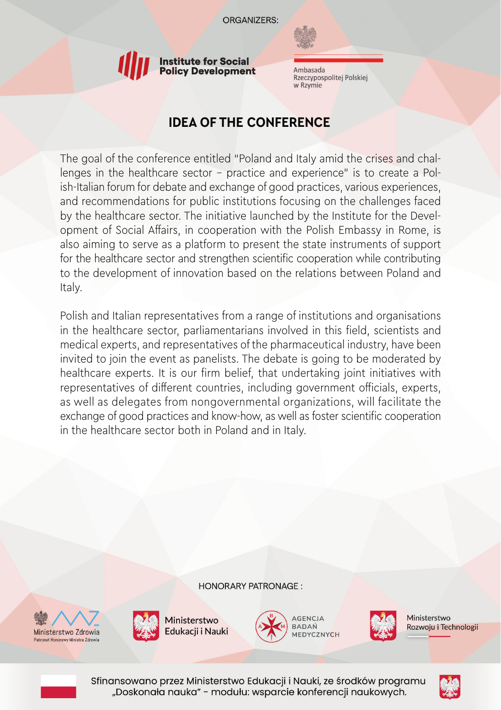

Ambasada Rzeczypospolitej Polskiej w Rzymie

## **IDEA OF THE CONFERENCE**

The goal of the conference entitled "Poland and Italy amid the crises and challenges in the healthcare sector – practice and experience" is to create a Polish-Italian forum for debate and exchange of good practices, various experiences, and recommendations for public institutions focusing on the challenges faced by the healthcare sector. The initiative launched by the Institute for the Development of Social Affairs, in cooperation with the Polish Embassy in Rome, is also aiming to serve as a platform to present the state instruments of support for the healthcare sector and strengthen scientific cooperation while contributing to the development of innovation based on the relations between Poland and Italy.

Polish and Italian representatives from a range of institutions and organisations in the healthcare sector, parliamentarians involved in this field, scientists and medical experts, and representatives of the pharmaceutical industry, have been invited to join the event as panelists. The debate is going to be moderated by healthcare experts. It is our firm belief, that undertaking joint initiatives with representatives of different countries, including government officials, experts, as well as delegates from nongovernmental organizations, will facilitate the exchange of good practices and know-how, as well as foster scientific cooperation in the healthcare sector both in Poland and in Italy.

**HONORARY PATRONAGE:** 







Ministerstwo Rozwoju i Technologii



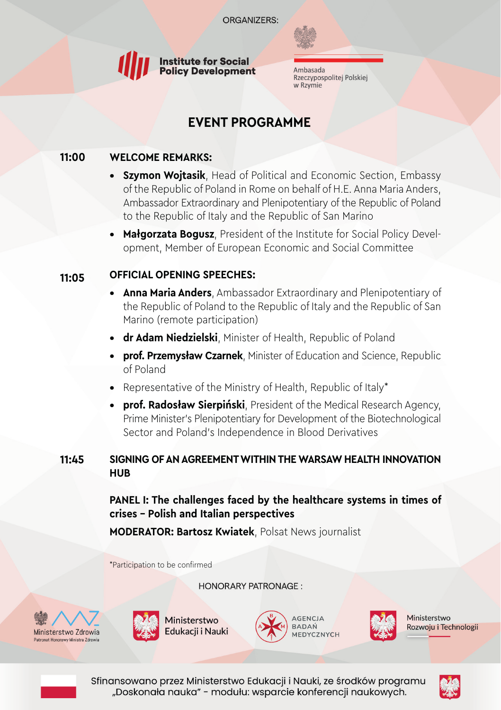

Ambasada Rzeczypospolitej Polskiej w Rzymie

## **EVENT PROGRAMME**

#### **11:00 WELCOME REMARKS:**

- **• Szymon Wojtasik**, Head of Political and Economic Section, Embassy of the Republic of Poland in Rome on behalf of H.E. Anna Maria Anders, Ambassador Extraordinary and Plenipotentiary of the Republic of Poland to the Republic of Italy and the Republic of San Marino
- **• Małgorzata Bogusz**, President of the Institute for Social Policy Development, Member of European Economic and Social Committee

#### **11:05 OFFICIAL OPENING SPEECHES:**

- **• Anna Maria Anders**, Ambassador Extraordinary and Plenipotentiary of the Republic of Poland to the Republic of Italy and the Republic of San Marino (remote participation)
- **• dr Adam Niedzielski**, Minister of Health, Republic of Poland
- **• prof. Przemysław Czarnek**, Minister of Education and Science, Republic of Poland
- **•** Representative of the Ministry of Health, Republic of Italy\*
- **• prof. Radosław Sierpiński**, President of the Medical Research Agency, Prime Minister's Plenipotentiary for Development of the Biotechnological Sector and Poland's Independence in Blood Derivatives

#### **11:45 SIGNING OF AN AGREEMENT WITHIN THE WARSAW HEALTH INNOVATION HUB**

### **PANEL I: The challenges faced by the healthcare systems in times of crises – Polish and Italian perspectives**

**MODERATOR: Bartosz Kwiatek**, Polsat News journalist

\*Participation to be confirmed

**HONORARY PATRONAGE:** 







Ministerstwo Rozwoju i Technologii



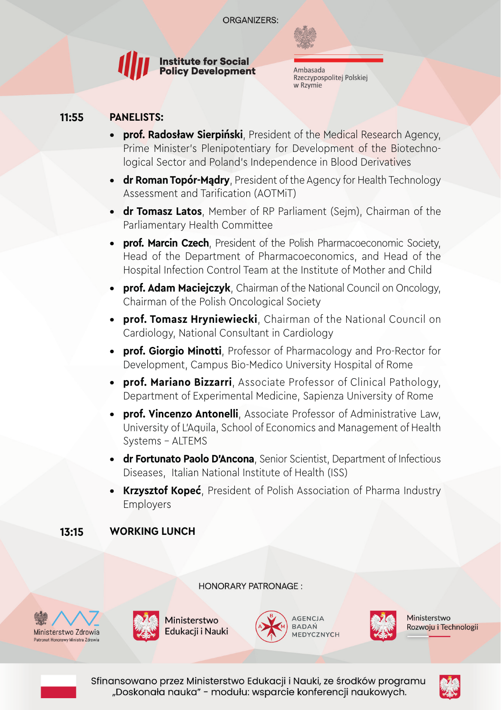

Ambasada Rzeczypospolitej Polskiej w Rzymie

#### **PANELISTS: 11:55**

- **• prof. Radosław Sierpiński**, President of the Medical Research Agency, Prime Minister's Plenipotentiary for Development of the Biotechnological Sector and Poland's Independence in Blood Derivatives
- **dr Roman Topór-Madry**, President of the Agency for Health Technology Assessment and Tarification (AOTMiT)
- **• dr Tomasz Latos**, Member of RP Parliament (Sejm), Chairman of the Parliamentary Health Committee
- **• prof. Marcin Czech**, President of the Polish Pharmacoeconomic Society, Head of the Department of Pharmacoeconomics, and Head of the Hospital Infection Control Team at the Institute of Mother and Child
- **• prof. Adam Macieiczyk**, Chairman of the National Council on Oncology, Chairman of the Polish Oncological Society
- **• prof. Tomasz Hryniewiecki**, Chairman of the National Council on Cardiology, National Consultant in Cardiology
- **• prof. Giorgio Minotti**, Professor of Pharmacology and Pro-Rector for Development, Campus Bio-Medico University Hospital of Rome
- **• prof. Mariano Bizzarri**, Associate Professor of Clinical Pathology, Department of Experimental Medicine, Sapienza University of Rome
- **• prof. Vincenzo Antonelli**, Associate Professor of Administrative Law, University of L'Aquila, School of Economics and Management of Health Systems - ALTEMS
- **• dr Fortunato Paolo D'Ancona**, Senior Scientist, Department of Infectious Diseases, Italian National Institute of Health (ISS)
- **• Krzysztof Kopeć**, President of Polish Association of Pharma Industry Employers

#### **WORKING LUNCH 13:15**

**HONORARY PATRONAGE:** 









Ministerstwo Rozwoju i Technologii



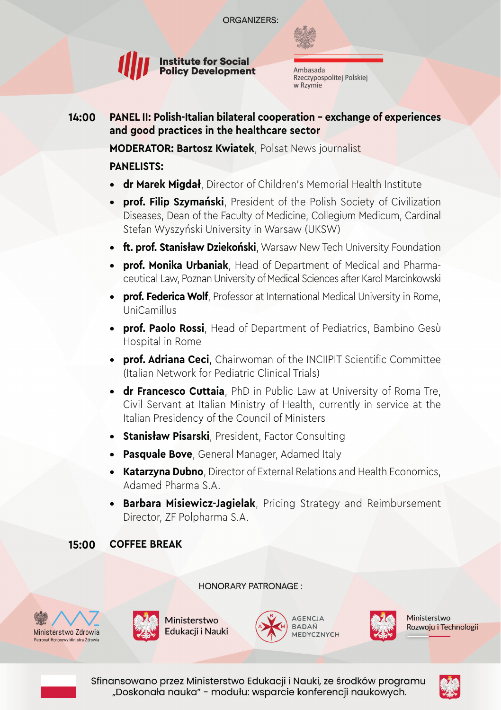

Ambasada Rzeczypospolitej Polskiej w Rzymie

**PANEL II: Polish-Italian bilateral cooperation - exchange of experiences and good practices in the healthcare sector 14:00**

**MODERATOR: Bartosz Kwiatek**, Polsat News journalist

### **PANELISTS:**

- **• dr Marek Migdał**, Director of Children's Memorial Health Institute
- **• prof. Filip Szymański**, President of the Polish Society of Civilization Diseases, Dean of the Faculty of Medicine, Collegium Medicum, Cardinal Stefan Wyszyński University in Warsaw (UKSW)
- **• ft. prof. Stanisław Dziekoński**, Warsaw New Tech University Foundation
- **• prof. Monika Urbaniak**, Head of Department of Medical and Pharmaceutical Law, Poznan University of Medical Sciences after Karol Marcinkowski
- **• prof. Federica Wolf**, Professor at International Medical University in Rome, UniCamillus
- **• prof. Paolo Rossi**, Head of Department of Pediatrics, Bambino Gesù Hospital in Rome
- **• prof. Adriana Ceci**, Chairwoman of the INCIIPIT Scientific Committee (Italian Network for Pediatric Clinical Trials)
- **• dr Francesco Cuttaia**, PhD in Public Law at University of Roma Tre, Civil Servant at Italian Ministry of Health, currently in service at the Italian Presidency of the Council of Ministers
- **• Stanisław Pisarski**, President, Factor Consulting
- **• Pasquale Bove**, General Manager, Adamed Italy
- **• Katarzyna Dubno**, Director of External Relations and Health Economics, Adamed Pharma S.A.
- **• Barbara Misiewicz-Jagielak**, Pricing Strategy and Reimbursement Director, ZF Polpharma S.A.

#### **COFFEE BREAK 15:00**

**HONORARY PATRONAGE:** 









Ministerstwo Rozwoju i Technologii



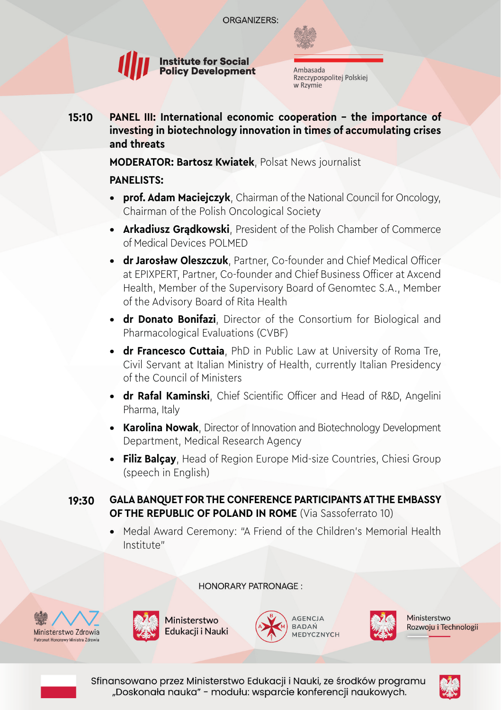

Ambasada Rzeczypospolitej Polskiej w Rzymie

**PANEL III: International economic cooperation - the importance of investing in biotechnology innovation in times of accumulating crises and threats 15:10**

### **MODERATOR: Bartosz Kwiatek**, Polsat News journalist

### **PANELISTS:**

- **• prof. Adam Maciejczyk**, Chairman of the National Council for Oncology, Chairman of the Polish Oncological Society
- **• Arkadiusz Grądkowski**, President of the Polish Chamber of Commerce of Medical Devices POLMED
- **• dr Jarosław Oleszczuk**, Partner, Co-founder and Chief Medical Officer at EPIXPERT, Partner, Co-founder and Chief Business Officer at Axcend Health, Member of the Supervisory Board of Genomtec S.A., Member of the Advisory Board of Rita Health
- **• dr Donato Bonifazi**, Director of the Consortium for Biological and Pharmacological Evaluations (CVBF)
- **• dr Francesco Cuttaia**, PhD in Public Law at University of Roma Tre, Civil Servant at Italian Ministry of Health, currently Italian Presidency of the Council of Ministers
- **• dr Rafal Kaminski**, Chief Scientific Officer and Head of R&D, Angelini Pharma, Italy
- **• Karolina Nowak**, Director of Innovation and Biotechnology Development Department, Medical Research Agency
- **• Filiz Balçay**, Head of Region Europe Mid-size Countries, Chiesi Group (speech in English)

#### **GALA BANQUET FOR THE CONFERENCE PARTICIPANTS AT THE EMBASSY OF THE REPUBLIC OF POLAND IN ROME** (Via Sassoferrato 10) **19:30**

**•** Medal Award Ceremony: "A Friend of the Children's Memorial Health Institute"

**HONORARY PATRONAGE:** 









Ministerstwo Rozwoju i Technologii